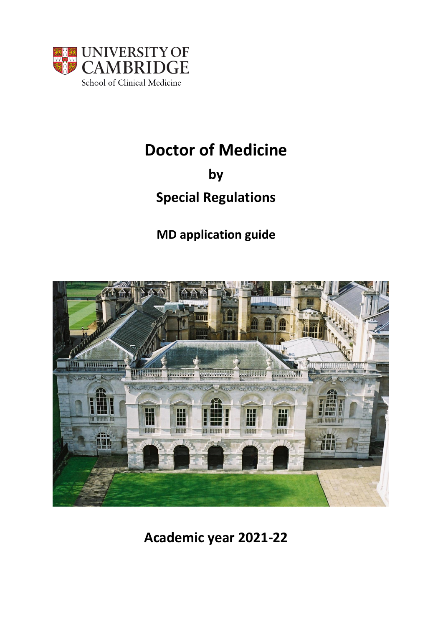

# **Doctor of Medicine**

**by**

# **Special Regulations**

## **MD application guide**



**Academic year 2021-22**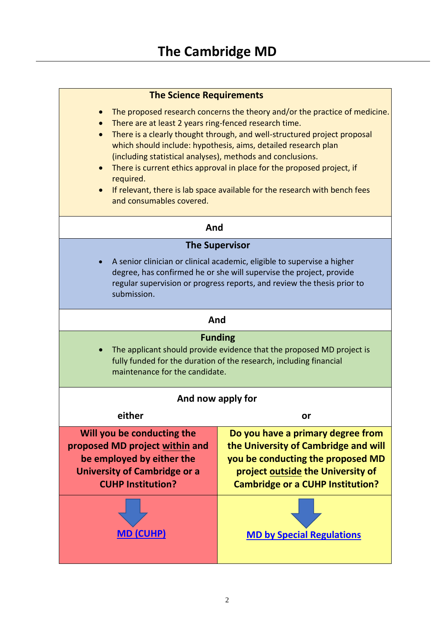| <b>The Science Requirements</b>                                                                                                                                                                                                                                                                                                                                                                                                                                                                                                                                                         |                                                                                                                                                                                                |  |
|-----------------------------------------------------------------------------------------------------------------------------------------------------------------------------------------------------------------------------------------------------------------------------------------------------------------------------------------------------------------------------------------------------------------------------------------------------------------------------------------------------------------------------------------------------------------------------------------|------------------------------------------------------------------------------------------------------------------------------------------------------------------------------------------------|--|
| The proposed research concerns the theory and/or the practice of medicine.<br>$\bullet$<br>There are at least 2 years ring-fenced research time.<br>There is a clearly thought through, and well-structured project proposal<br>$\bullet$<br>which should include: hypothesis, aims, detailed research plan<br>(including statistical analyses), methods and conclusions.<br>There is current ethics approval in place for the proposed project, if<br>$\bullet$<br>required.<br>If relevant, there is lab space available for the research with bench fees<br>and consumables covered. |                                                                                                                                                                                                |  |
| And                                                                                                                                                                                                                                                                                                                                                                                                                                                                                                                                                                                     |                                                                                                                                                                                                |  |
| <b>The Supervisor</b>                                                                                                                                                                                                                                                                                                                                                                                                                                                                                                                                                                   |                                                                                                                                                                                                |  |
| A senior clinician or clinical academic, eligible to supervise a higher<br>degree, has confirmed he or she will supervise the project, provide<br>regular supervision or progress reports, and review the thesis prior to<br>submission.                                                                                                                                                                                                                                                                                                                                                |                                                                                                                                                                                                |  |
| And                                                                                                                                                                                                                                                                                                                                                                                                                                                                                                                                                                                     |                                                                                                                                                                                                |  |
| <b>Funding</b><br>The applicant should provide evidence that the proposed MD project is<br>$\bullet$<br>fully funded for the duration of the research, including financial<br>maintenance for the candidate.                                                                                                                                                                                                                                                                                                                                                                            |                                                                                                                                                                                                |  |
| And now apply for                                                                                                                                                                                                                                                                                                                                                                                                                                                                                                                                                                       |                                                                                                                                                                                                |  |
| either                                                                                                                                                                                                                                                                                                                                                                                                                                                                                                                                                                                  | or                                                                                                                                                                                             |  |
| Will you be conducting the<br>proposed MD project within and<br>be employed by either the<br><b>University of Cambridge or a</b><br><b>CUHP Institution?</b>                                                                                                                                                                                                                                                                                                                                                                                                                            | Do you have a primary degree from<br>the University of Cambridge and will<br>you be conducting the proposed MD<br>project outside the University of<br><b>Cambridge or a CUHP Institution?</b> |  |
| <b>MD (CUHP)</b>                                                                                                                                                                                                                                                                                                                                                                                                                                                                                                                                                                        | <b>MD by Special Regulations</b>                                                                                                                                                               |  |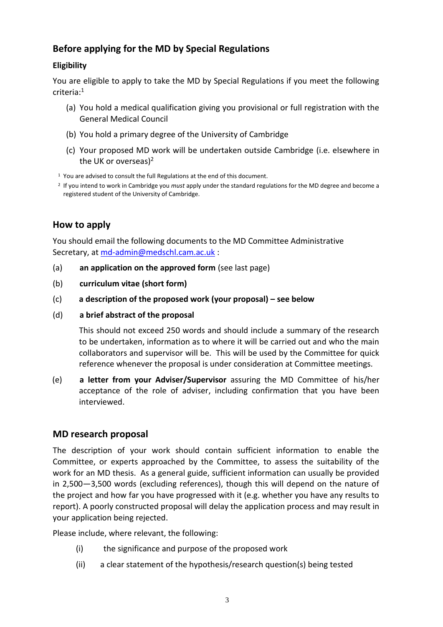## **Before applying for the MD by Special Regulations**

### **Eligibility**

You are eligible to apply to take the MD by Special Regulations if you meet the following criteria:<sup>1</sup>

- (a) You hold a medical qualification giving you provisional or full registration with the General Medical Council
- (b) You hold a primary degree of the University of Cambridge
- (c) Your proposed MD work will be undertaken outside Cambridge (i.e. elsewhere in the UK or overseas)<sup>2</sup>
- $1$  You are advised to consult the full Regulations at the end of this document.
- 2 If you intend to work in Cambridge you *must* apply under the standard regulations for the MD degree and become a registered student of the University of Cambridge.

## **How to apply**

You should email the following documents to the MD Committee Administrative Secretary, at [md-admin@medschl.cam.ac.uk](mailto:md-admin@medschl.cam.ac.uk) :

- (a) **an application on the approved form** (see last page)
- (b) **curriculum vitae (short form)**
- (c) **a description of the proposed work (your proposal) – see below**
- (d) **a brief abstract of the proposal**

This should not exceed 250 words and should include a summary of the research to be undertaken, information as to where it will be carried out and who the main collaborators and supervisor will be. This will be used by the Committee for quick reference whenever the proposal is under consideration at Committee meetings.

(e) **a letter from your Adviser/Supervisor** assuring the MD Committee of his/her acceptance of the role of adviser, including confirmation that you have been interviewed.

## **MD research proposal**

The description of your work should contain sufficient information to enable the Committee, or experts approached by the Committee, to assess the suitability of the work for an MD thesis. As a general guide, sufficient information can usually be provided in 2,500—3,500 words (excluding references), though this will depend on the nature of the project and how far you have progressed with it (e.g. whether you have any results to report). A poorly constructed proposal will delay the application process and may result in your application being rejected.

Please include, where relevant, the following:

- (i) the significance and purpose of the proposed work
- (ii) a clear statement of the hypothesis/research question(s) being tested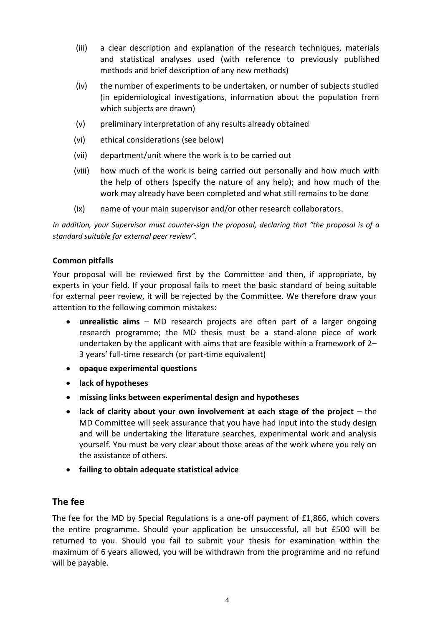- (iii) a clear description and explanation of the research techniques, materials and statistical analyses used (with reference to previously published methods and brief description of any new methods)
- (iv) the number of experiments to be undertaken, or number of subjects studied (in epidemiological investigations, information about the population from which subjects are drawn)
- (v) preliminary interpretation of any results already obtained
- (vi) ethical considerations (see below)
- (vii) department/unit where the work is to be carried out
- (viii) how much of the work is being carried out personally and how much with the help of others (specify the nature of any help); and how much of the work may already have been completed and what still remains to be done
- (ix) name of your main supervisor and/or other research collaborators.

*In addition, your Supervisor must counter-sign the proposal, declaring that "the proposal is of a standard suitable for external peer review".*

#### **Common pitfalls**

Your proposal will be reviewed first by the Committee and then, if appropriate, by experts in your field. If your proposal fails to meet the basic standard of being suitable for external peer review, it will be rejected by the Committee. We therefore draw your attention to the following common mistakes:

- **unrealistic aims** MD research projects are often part of a larger ongoing research programme; the MD thesis must be a stand-alone piece of work undertaken by the applicant with aims that are feasible within a framework of 2– 3 years' full-time research (or part-time equivalent)
- **opaque experimental questions**
- **lack of hypotheses**
- **missing links between experimental design and hypotheses**
- lack of clarity about your own involvement at each stage of the project the MD Committee will seek assurance that you have had input into the study design and will be undertaking the literature searches, experimental work and analysis yourself. You must be very clear about those areas of the work where you rely on the assistance of others.
- **failing to obtain adequate statistical advice**

## **The fee**

The fee for the MD by Special Regulations is a one-off payment of £1,866, which covers the entire programme. Should your application be unsuccessful, all but £500 will be returned to you. Should you fail to submit your thesis for examination within the maximum of 6 years allowed, you will be withdrawn from the programme and no refund will be payable.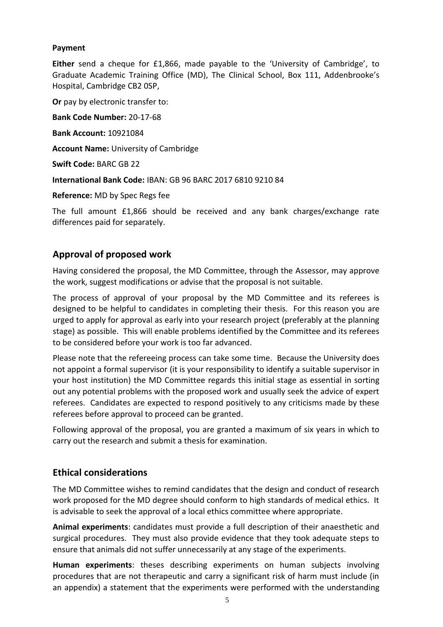#### **Payment**

**Either** send a cheque for £1,866, made payable to the 'University of Cambridge', to Graduate Academic Training Office (MD), The Clinical School, Box 111, Addenbrooke's Hospital, Cambridge CB2 0SP,

**Or** pay by electronic transfer to:

**Bank Code Number:** 20-17-68

**Bank Account:** 10921084

**Account Name:** University of Cambridge

**Swift Code:** BARC GB 22

**International Bank Code:** IBAN: GB 96 BARC 2017 6810 9210 84

**Reference:** MD by Spec Regs fee

The full amount £1,866 should be received and any bank charges/exchange rate differences paid for separately.

## **Approval of proposed work**

Having considered the proposal, the MD Committee, through the Assessor, may approve the work, suggest modifications or advise that the proposal is not suitable.

The process of approval of your proposal by the MD Committee and its referees is designed to be helpful to candidates in completing their thesis. For this reason you are urged to apply for approval as early into your research project (preferably at the planning stage) as possible. This will enable problems identified by the Committee and its referees to be considered before your work is too far advanced.

Please note that the refereeing process can take some time. Because the University does not appoint a formal supervisor (it is your responsibility to identify a suitable supervisor in your host institution) the MD Committee regards this initial stage as essential in sorting out any potential problems with the proposed work and usually seek the advice of expert referees. Candidates are expected to respond positively to any criticisms made by these referees before approval to proceed can be granted.

Following approval of the proposal, you are granted a maximum of six years in which to carry out the research and submit a thesis for examination.

## **Ethical considerations**

The MD Committee wishes to remind candidates that the design and conduct of research work proposed for the MD degree should conform to high standards of medical ethics. It is advisable to seek the approval of a local ethics committee where appropriate.

**Animal experiments**: candidates must provide a full description of their anaesthetic and surgical procedures. They must also provide evidence that they took adequate steps to ensure that animals did not suffer unnecessarily at any stage of the experiments.

**Human experiments**: theses describing experiments on human subjects involving procedures that are not therapeutic and carry a significant risk of harm must include (in an appendix) a statement that the experiments were performed with the understanding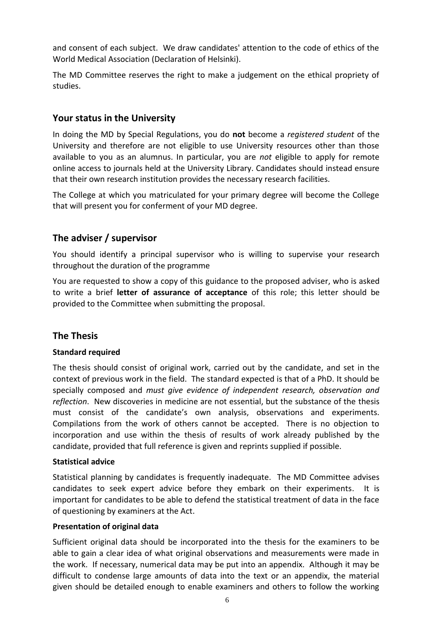and consent of each subject. We draw candidates' attention to the code of ethics of the World Medical Association (Declaration of Helsinki).

The MD Committee reserves the right to make a judgement on the ethical propriety of studies.

## **Your status in the University**

In doing the MD by Special Regulations, you do **not** become a *registered student* of the University and therefore are not eligible to use University resources other than those available to you as an alumnus. In particular, you are *not* eligible to apply for remote online access to journals held at the University Library. Candidates should instead ensure that their own research institution provides the necessary research facilities.

The College at which you matriculated for your primary degree will become the College that will present you for conferment of your MD degree.

## **The adviser / supervisor**

You should identify a principal supervisor who is willing to supervise your research throughout the duration of the programme

You are requested to show a copy of this guidance to the proposed adviser, who is asked to write a brief **letter of assurance of acceptance** of this role; this letter should be provided to the Committee when submitting the proposal.

## **The Thesis**

### **Standard required**

The thesis should consist of original work, carried out by the candidate, and set in the context of previous work in the field. The standard expected is that of a PhD. It should be specially composed and *must give evidence of independent research, observation and reflection*. New discoveries in medicine are not essential, but the substance of the thesis must consist of the candidate's own analysis, observations and experiments. Compilations from the work of others cannot be accepted. There is no objection to incorporation and use within the thesis of results of work already published by the candidate, provided that full reference is given and reprints supplied if possible.

### **Statistical advice**

Statistical planning by candidates is frequently inadequate. The MD Committee advises candidates to seek expert advice before they embark on their experiments. It is important for candidates to be able to defend the statistical treatment of data in the face of questioning by examiners at the Act.

### **Presentation of original data**

Sufficient original data should be incorporated into the thesis for the examiners to be able to gain a clear idea of what original observations and measurements were made in the work. If necessary, numerical data may be put into an appendix. Although it may be difficult to condense large amounts of data into the text or an appendix, the material given should be detailed enough to enable examiners and others to follow the working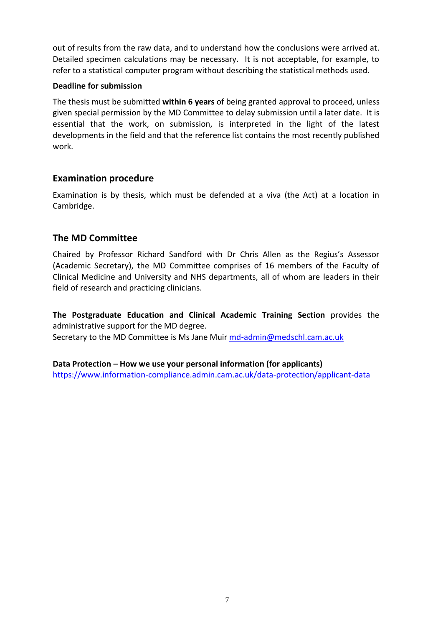out of results from the raw data, and to understand how the conclusions were arrived at. Detailed specimen calculations may be necessary. It is not acceptable, for example, to refer to a statistical computer program without describing the statistical methods used.

#### **Deadline for submission**

The thesis must be submitted **within 6 years** of being granted approval to proceed, unless given special permission by the MD Committee to delay submission until a later date. It is essential that the work, on submission, is interpreted in the light of the latest developments in the field and that the reference list contains the most recently published work.

## **Examination procedure**

Examination is by thesis, which must be defended at a viva (the Act) at a location in Cambridge.

## **The MD Committee**

Chaired by Professor Richard Sandford with Dr Chris Allen as the Regius's Assessor (Academic Secretary), the MD Committee comprises of 16 members of the Faculty of Clinical Medicine and University and NHS departments, all of whom are leaders in their field of research and practicing clinicians.

**The Postgraduate Education and Clinical Academic Training Section** provides the administrative support for the MD degree.

Secretary to the MD Committee is Ms Jane Muir [md-admin@medschl.cam.ac.uk](mailto:md-admin@medschl.cam.ac.uk)

**Data Protection – How we use your personal information (for applicants)** <https://www.information-compliance.admin.cam.ac.uk/data-protection/applicant-data>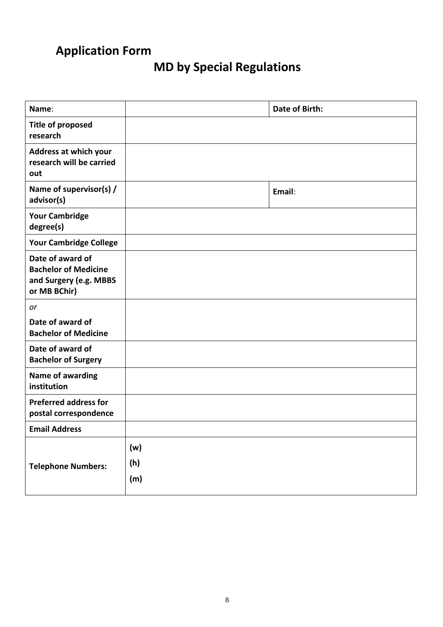# **Application Form**

# **MD by Special Regulations**

| Name:                                                                                     |                   | Date of Birth: |
|-------------------------------------------------------------------------------------------|-------------------|----------------|
| <b>Title of proposed</b><br>research                                                      |                   |                |
| Address at which your<br>research will be carried<br>out                                  |                   |                |
| Name of supervisor(s) /<br>advisor(s)                                                     |                   | Email:         |
| <b>Your Cambridge</b><br>degree(s)                                                        |                   |                |
| <b>Your Cambridge College</b>                                                             |                   |                |
| Date of award of<br><b>Bachelor of Medicine</b><br>and Surgery (e.g. MBBS<br>or MB BChir) |                   |                |
| or                                                                                        |                   |                |
| Date of award of<br><b>Bachelor of Medicine</b>                                           |                   |                |
| Date of award of<br><b>Bachelor of Surgery</b>                                            |                   |                |
| Name of awarding<br>institution                                                           |                   |                |
| <b>Preferred address for</b><br>postal correspondence                                     |                   |                |
| <b>Email Address</b>                                                                      |                   |                |
| <b>Telephone Numbers:</b>                                                                 | (w)<br>(h)<br>(m) |                |